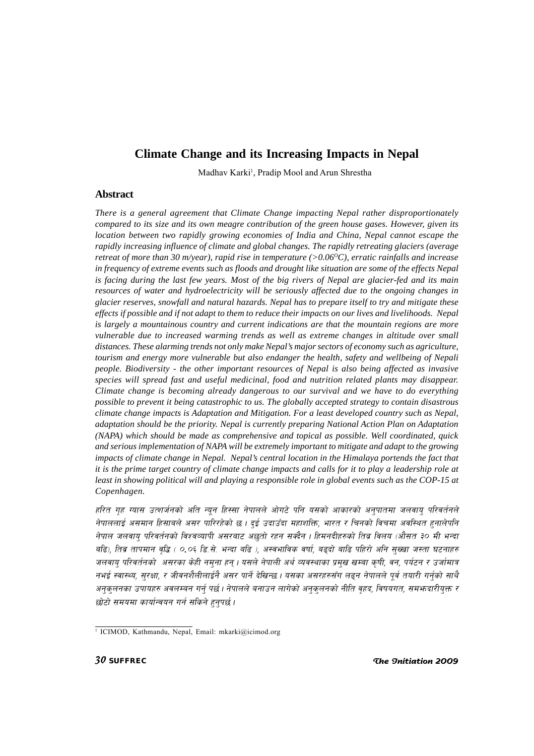# **Climate Change and its Increasing Impacts in Nepal**

Madhav Karki<sup>1</sup>, Pradip Mool and Arun Shrestha

#### **Abstract**

*There is a general agreement that Climate Change impacting Nepal rather disproportionately compared to its size and its own meagre contribution of the green house gases. However, given its location between two rapidly growing economies of India and China, Nepal cannot escape the rapidly increasing influence of climate and global changes. The rapidly retreating glaciers (average retreat of more than 30 m/year), rapid rise in temperature (>0.06<sup>o</sup>C), erratic rainfalls and increase in frequency of extreme events such as floods and drought like situation are some of the effects Nepal is facing during the last few years. Most of the big rivers of Nepal are glacier-fed and its main resources of water and hydroelectricity will be seriously affected due to the ongoing changes in glacier reserves, snowfall and natural hazards. Nepal has to prepare itself to try and mitigate these effects if possible and if not adapt to them to reduce their impacts on our lives and livelihoods. Nepal is largely a mountainous country and current indications are that the mountain regions are more vulnerable due to increased warming trends as well as extreme changes in altitude over small distances. These alarming trends not only make Nepal's major sectors of economy such as agriculture, tourism and energy more vulnerable but also endanger the health, safety and wellbeing of Nepali people. Biodiversity - the other important resources of Nepal is also being affected as invasive species will spread fast and useful medicinal, food and nutrition related plants may disappear. Climate change is becoming already dangerous to our survival and we have to do everything possible to prevent it being catastrophic to us. The globally accepted strategy to contain disastrous climate change impacts is Adaptation and Mitigation. For a least developed country such as Nepal, adaptation should be the priority. Nepal is currently preparing National Action Plan on Adaptation (NAPA) which should be made as comprehensive and topical as possible. Well coordinated, quick and serious implementation of NAPA will be extremely important to mitigate and adapt to the growing impacts of climate change in Nepal. Nepal's central location in the Himalaya portends the fact that it is the prime target country of climate change impacts and calls for it to play a leadership role at least in showing political will and playing a responsible role in global events such as the COP-15 at Copenhagen.*

हरित गृह ग्यास उत्शर्जनको अति न्यून हिस्सा नेपालले ओगटे पनि यसको आकारको अनुपातमा जलवायु परिवर्तनले नेपाललाई असमान हिसाबले असर पारिरहेको छ । दुई उदाउँदा महाशक्ति, भारत र चिनको विचमा अवस्थित हुनालेपनि नेपाल जलवाय परिवर्तनको विश्वव्यापी असरबाट अछतो रहन सक्दैन । हिमनदीहरुको तिब्र विलय (औसत ३० मी भन्दा बढि), तिव्र तापमान वृद्धि ( **०.०**६ डि.से. भन्दा बढि ), अस्वभाविक वर्षा, बढुदो बाढि पहिरो अनि सुख्खा जस्ता घटनाहरु जलवायु परिवर्तनको असरका केही नमुना हन् । यसले नेपाली अर्थ व्यवस्थाका प्रमुख खम्बा कुषी, वन, पर्यटन र उर्जामात्र नभई स्वास्थ्य, सुरक्षा, र जीवनशैलीलाईनै असर पार्ने देखिन्छ । यसका असरहरुसँग लढुन नेपालले पूर्व तयारी गर्नुको साथै अनुकुलनका उपायहरु अवलम्बन गर्नु पर्छ । नेपालले बनाउन लागेको अनुकुलनको नीति वृहद, विषयगत, समभ्रुदारीयुक्त र छोटो समयमा कार्यान्वयन गर्न सकिने हुन्पर्छ।

<sup>1</sup> ICIMOD, Kathmandu, Nepal, Email: mkarki@icimod.org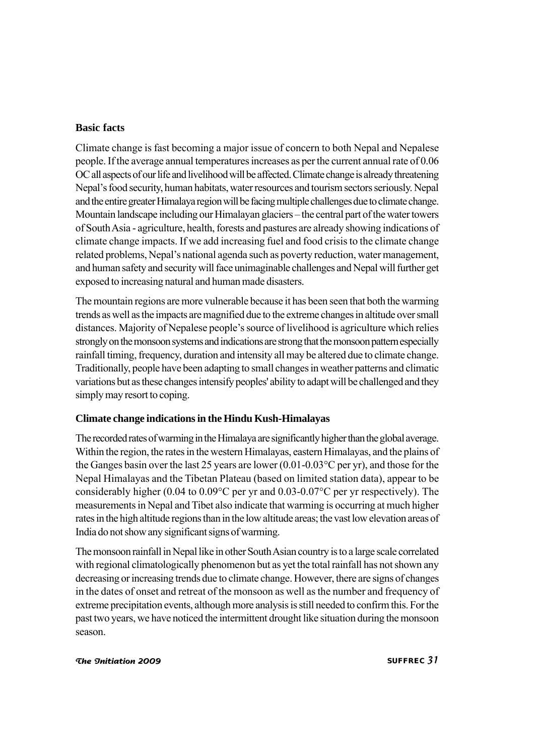#### **Basic facts**

Climate change is fast becoming a major issue of concern to both Nepal and Nepalese people. If the average annual temperatures increases as per the current annual rate of 0.06 OC all aspects of our life and livelihood will be affected. Climate change is already threatening Nepal's food security, human habitats, water resources and tourism sectors seriously. Nepal and the entire greater Himalaya region will be facing multiple challenges due to climate change. Mountain landscape including our Himalayan glaciers – the central part of the water towers of South Asia - agriculture, health, forests and pastures are already showing indications of climate change impacts. If we add increasing fuel and food crisis to the climate change related problems, Nepal's national agenda such as poverty reduction, water management, and human safety and security will face unimaginable challenges and Nepal will further get exposed to increasing natural and human made disasters.

The mountain regions are more vulnerable because it has been seen that both the warming trends as well as the impacts are magnified due to the extreme changes in altitude over small distances. Majority of Nepalese people's source of livelihood is agriculture which relies strongly on the monsoon systems and indications are strong that the monsoon pattern especially rainfall timing, frequency, duration and intensity all may be altered due to climate change. Traditionally, people have been adapting to small changes in weather patterns and climatic variations but as these changes intensify peoples' ability to adapt will be challenged and they simply may resort to coping.

## **Climate change indications in the Hindu Kush-Himalayas**

The recorded rates of warming in the Himalaya are significantly higher than the global average. Within the region, the rates in the western Himalayas, eastern Himalayas, and the plains of the Ganges basin over the last 25 years are lower (0.01-0.03°C per yr), and those for the Nepal Himalayas and the Tibetan Plateau (based on limited station data), appear to be considerably higher (0.04 to 0.09°C per yr and 0.03-0.07°C per yr respectively). The measurements in Nepal and Tibet also indicate that warming is occurring at much higher rates in the high altitude regions than in the low altitude areas; the vast low elevation areas of India do not show any significant signs of warming.

The monsoon rainfall in Nepal like in other South Asian country is to a large scale correlated with regional climatologically phenomenon but as yet the total rainfall has not shown any decreasing or increasing trends due to climate change. However, there are signs of changes in the dates of onset and retreat of the monsoon as well as the number and frequency of extreme precipitation events, although more analysis is still needed to confirm this. For the past two years, we have noticed the intermittent drought like situation during the monsoon season.

#### The Initiation 2009 **SUFFREC** 31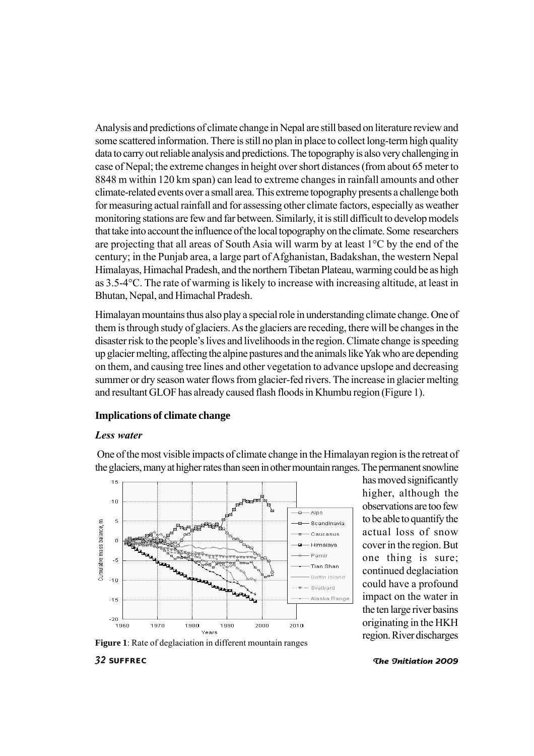Analysis and predictions of climate change in Nepal are still based on literature review and some scattered information. There is still no plan in place to collect long-term high quality data to carry out reliable analysis and predictions. The topography is also very challenging in case of Nepal; the extreme changes in height over short distances (from about 65 meter to 8848 m within 120 km span) can lead to extreme changes in rainfall amounts and other climate-related events over a small area. This extreme topography presents a challenge both for measuring actual rainfall and for assessing other climate factors, especially as weather monitoring stations are few and far between. Similarly, it is still difficult to develop models that take into account the influence of the local topography on the climate. Some researchers are projecting that all areas of South Asia will warm by at least 1°C by the end of the century; in the Punjab area, a large part of Afghanistan, Badakshan, the western Nepal Himalayas, Himachal Pradesh, and the northern Tibetan Plateau, warming could be as high as 3.5-4°C. The rate of warming is likely to increase with increasing altitude, at least in Bhutan, Nepal, and Himachal Pradesh.

Himalayan mountains thus also play a special role in understanding climate change. One of them is through study of glaciers. As the glaciers are receding, there will be changes in the disaster risk to the people's lives and livelihoods in the region. Climate change is speeding up glacier melting, affecting the alpine pastures and the animals like Yak who are depending on them, and causing tree lines and other vegetation to advance upslope and decreasing summer or dry season water flows from glacier-fed rivers. The increase in glacier melting and resultant GLOF has already caused flash floods in Khumbu region (Figure 1).

#### **Implications of climate change**

#### *Less water*

One of the most visible impacts of climate change in the Himalayan region is the retreat of the glaciers, many at higher rates than seen in other mountain ranges. The permanent snowline



has moved significantly higher, although the observations are too few to be able to quantify the actual loss of snow cover in the region. But one thing is sure; continued deglaciation could have a profound impact on the water in the ten large river basins originating in the HKH

32 **SUFFREC** The Initiation 2009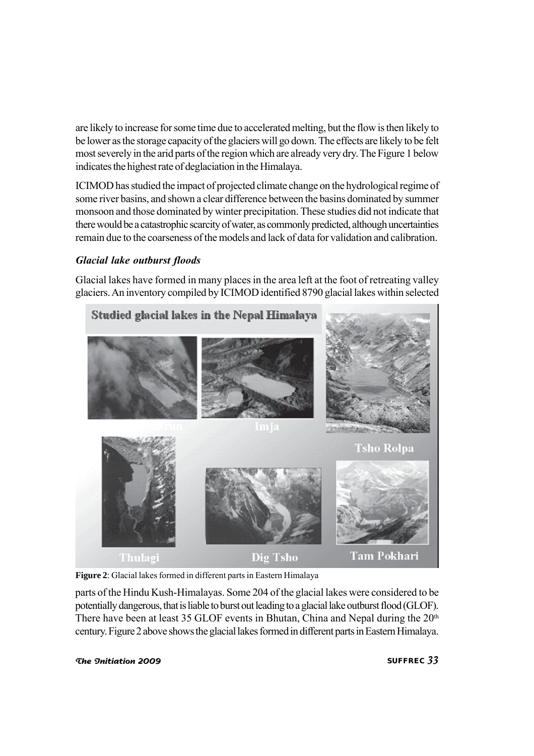are likely to increase for some time due to accelerated melting, but the flow is then likely to be lower as the storage capacity of the glaciers will go down. The effects are likely to be felt most severely in the arid parts of the region which are already very dry. The Figure 1 below indicates the highest rate of deglaciation in the Himalaya.

ICIMOD has studied the impact of projected climate change on the hydrological regime of some river basins, and shown a clear difference between the basins dominated by summer monsoon and those dominated by winter precipitation. These studies did not indicate that there would be a catastrophic scarcity of water, as commonly predicted, although uncertainties remain due to the coarseness of the models and lack of data for validation and calibration.

## *Glacial lake outburst floods*

Glacial lakes have formed in many places in the area left at the foot of retreating valley glaciers. An inventory compiled by ICIMOD identified 8790 glacial lakes within selected



**Figure 2**: Glacial lakes formed in different parts in Eastern Himalaya

parts of the Hindu Kush-Himalayas. Some 204 of the glacial lakes were considered to be potentially dangerous, that is liable to burst out leading to a glacial lake outburst flood (GLOF). There have been at least 35 GLOF events in Bhutan, China and Nepal during the 20<sup>th</sup> century. Figure 2 above shows the glacial lakes formed in different parts in Eastern Himalaya.

The Initiation 2009 **SUFFREC** 33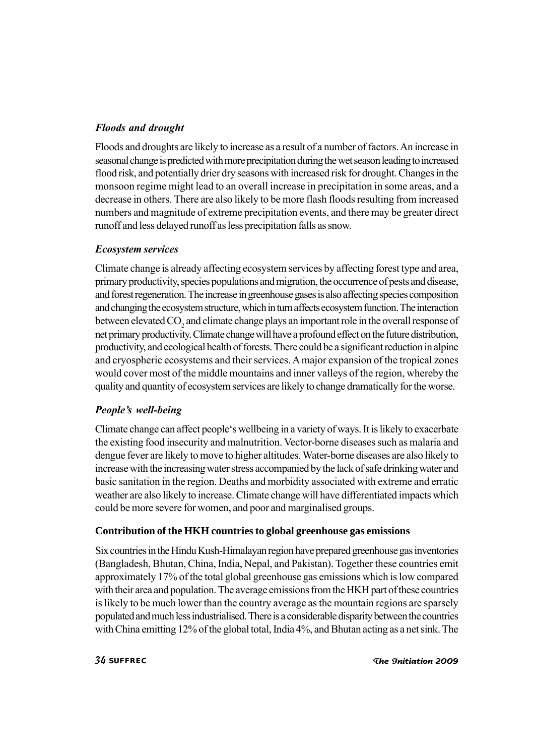## *Floods and drought*

Floods and droughts are likely to increase as a result of a number of factors. An increase in seasonal change is predicted with more precipitation during the wet season leading to increased flood risk, and potentially drier dry seasons with increased risk for drought. Changes in the monsoon regime might lead to an overall increase in precipitation in some areas, and a decrease in others. There are also likely to be more flash floods resulting from increased numbers and magnitude of extreme precipitation events, and there may be greater direct runoff and less delayed runoff as less precipitation falls as snow.

## *Ecosystem services*

Climate change is already affecting ecosystem services by affecting forest type and area, primary productivity, species populations and migration, the occurrence of pests and disease, and forest regeneration. The increase in greenhouse gases is also affecting species composition and changing the ecosystem structure, which in turn affects ecosystem function. The interaction between elevated  $\rm CO_2$  and climate change plays an important role in the overall response of net primary productivity. Climate change will have a profound effect on the future distribution, productivity, and ecological health of forests. There could be a significant reduction in alpine and cryospheric ecosystems and their services. A major expansion of the tropical zones would cover most of the middle mountains and inner valleys of the region, whereby the quality and quantity of ecosystem services are likely to change dramatically for the worse.

# *People's well-being*

Climate change can affect people's wellbeing in a variety of ways. It is likely to exacerbate the existing food insecurity and malnutrition. Vector-borne diseases such as malaria and dengue fever are likely to move to higher altitudes. Water-borne diseases are also likely to increase with the increasing water stress accompanied by the lack of safe drinking water and basic sanitation in the region. Deaths and morbidity associated with extreme and erratic weather are also likely to increase. Climate change will have differentiated impacts which could be more severe for women, and poor and marginalised groups.

## **Contribution of the HKH countries to global greenhouse gas emissions**

Six countries in the Hindu Kush-Himalayan region have prepared greenhouse gas inventories (Bangladesh, Bhutan, China, India, Nepal, and Pakistan). Together these countries emit approximately 17% of the total global greenhouse gas emissions which is low compared with their area and population. The average emissions from the HKH part of these countries is likely to be much lower than the country average as the mountain regions are sparsely populated and much less industrialised. There is a considerable disparity between the countries with China emitting 12% of the global total, India 4%, and Bhutan acting as a net sink. The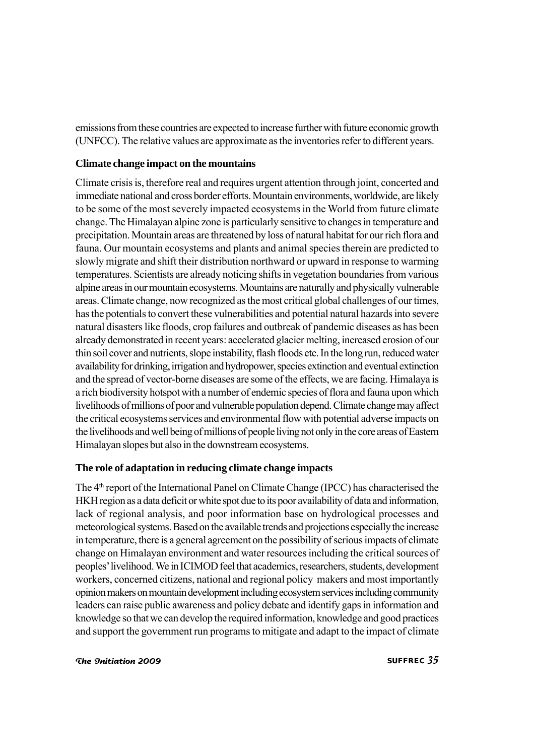emissions from these countries are expected to increase further with future economic growth (UNFCC). The relative values are approximate as the inventories refer to different years.

### **Climate change impact on the mountains**

Climate crisis is, therefore real and requires urgent attention through joint, concerted and immediate national and cross border efforts. Mountain environments, worldwide, are likely to be some of the most severely impacted ecosystems in the World from future climate change. The Himalayan alpine zone is particularly sensitive to changes in temperature and precipitation. Mountain areas are threatened by loss of natural habitat for our rich flora and fauna. Our mountain ecosystems and plants and animal species therein are predicted to slowly migrate and shift their distribution northward or upward in response to warming temperatures. Scientists are already noticing shifts in vegetation boundaries from various alpine areas in our mountain ecosystems. Mountains are naturally and physically vulnerable areas. Climate change, now recognized as the most critical global challenges of our times, has the potentials to convert these vulnerabilities and potential natural hazards into severe natural disasters like floods, crop failures and outbreak of pandemic diseases as has been already demonstrated in recent years: accelerated glacier melting, increased erosion of our thin soil cover and nutrients, slope instability, flash floods etc. In the long run, reduced water availability for drinking, irrigation and hydropower, species extinction and eventual extinction and the spread of vector-borne diseases are some of the effects, we are facing. Himalaya is a rich biodiversity hotspot with a number of endemic species of flora and fauna upon which livelihoods of millions of poor and vulnerable population depend. Climate change may affect the critical ecosystems services and environmental flow with potential adverse impacts on the livelihoods and well being of millions of people living not only in the core areas of Eastern Himalayan slopes but also in the downstream ecosystems.

#### **The role of adaptation in reducing climate change impacts**

The 4<sup>th</sup> report of the International Panel on Climate Change (IPCC) has characterised the HKH region as a data deficit or white spot due to its poor availability of data and information, lack of regional analysis, and poor information base on hydrological processes and meteorological systems. Based on the available trends and projections especially the increase in temperature, there is a general agreement on the possibility of serious impacts of climate change on Himalayan environment and water resources including the critical sources of peoples' livelihood. We in ICIMOD feel that academics, researchers, students, development workers, concerned citizens, national and regional policy makers and most importantly opinion makers on mountain development including ecosystem services including community leaders can raise public awareness and policy debate and identify gaps in information and knowledge so that we can develop the required information, knowledge and good practices and support the government run programs to mitigate and adapt to the impact of climate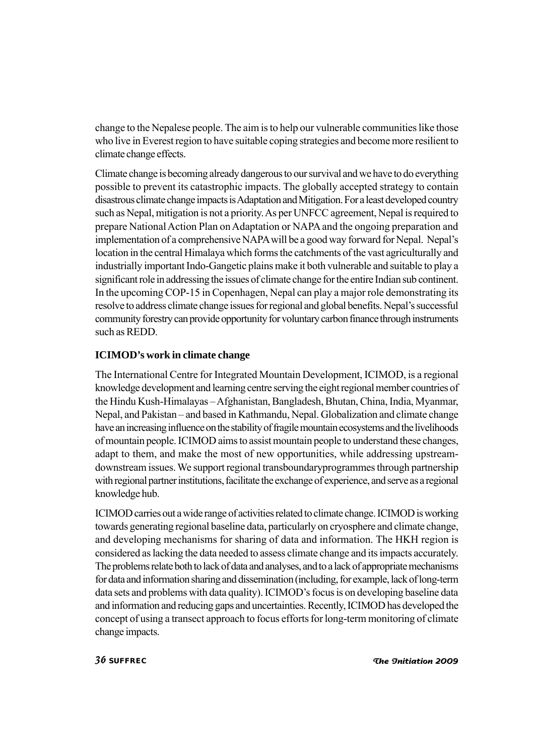change to the Nepalese people. The aim is to help our vulnerable communities like those who live in Everest region to have suitable coping strategies and become more resilient to climate change effects.

Climate change is becoming already dangerous to our survival and we have to do everything possible to prevent its catastrophic impacts. The globally accepted strategy to contain disastrous climate change impacts is Adaptation and Mitigation. For a least developed country such as Nepal, mitigation is not a priority. As per UNFCC agreement, Nepal is required to prepare National Action Plan on Adaptation or NAPA and the ongoing preparation and implementation of a comprehensive NAPA will be a good way forward for Nepal. Nepal's location in the central Himalaya which forms the catchments of the vast agriculturally and industrially important Indo-Gangetic plains make it both vulnerable and suitable to play a significant role in addressing the issues of climate change for the entire Indian sub continent. In the upcoming COP-15 in Copenhagen, Nepal can play a major role demonstrating its resolve to address climate change issues for regional and global benefits. Nepal's successful community forestry can provide opportunity for voluntary carbon finance through instruments such as REDD.

## **ICIMOD's work in climate change**

The International Centre for Integrated Mountain Development, ICIMOD, is a regional knowledge development and learning centre serving the eight regional member countries of the Hindu Kush-Himalayas – Afghanistan, Bangladesh, Bhutan, China, India, Myanmar, Nepal, and Pakistan – and based in Kathmandu, Nepal. Globalization and climate change have an increasing influence on the stability of fragile mountain ecosystems and the livelihoods of mountain people. ICIMOD aims to assist mountain people to understand these changes, adapt to them, and make the most of new opportunities, while addressing upstreamdownstream issues. We support regional transboundaryprogrammes through partnership with regional partner institutions, facilitate the exchange of experience, and serve as a regional knowledge hub.

ICIMOD carries out a wide range of activities related to climate change. ICIMOD is working towards generating regional baseline data, particularly on cryosphere and climate change, and developing mechanisms for sharing of data and information. The HKH region is considered as lacking the data needed to assess climate change and its impacts accurately. The problems relate both to lack of data and analyses, and to a lack of appropriate mechanisms for data and information sharing and dissemination (including, for example, lack of long-term data sets and problems with data quality). ICIMOD's focus is on developing baseline data and information and reducing gaps and uncertainties. Recently, ICIMOD has developed the concept of using a transect approach to focus efforts for long-term monitoring of climate change impacts.